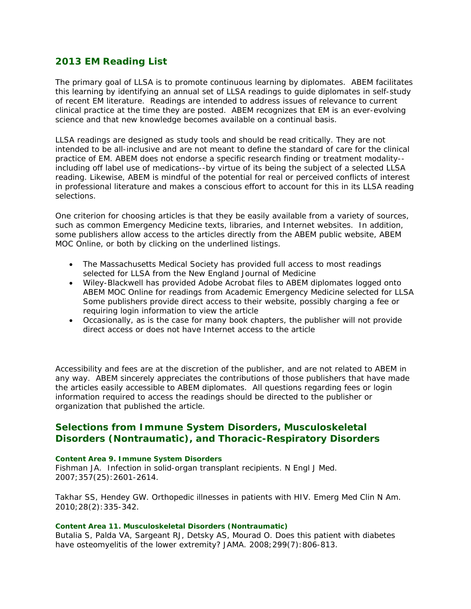# **2013 EM Reading List**

The primary goal of LLSA is to promote continuous learning by diplomates. ABEM facilitates this learning by identifying an annual set of LLSA readings to guide diplomates in self-study of recent EM literature. Readings are intended to address issues of relevance to current clinical practice at the time they are posted. ABEM recognizes that EM is an ever-evolving science and that new knowledge becomes available on a continual basis.

LLSA readings are designed as study tools and should be read critically. They are not intended to be all-inclusive and are not meant to define the standard of care for the clinical practice of EM. ABEM does not endorse a specific research finding or treatment modality- including off label use of medications--by virtue of its being the subject of a selected LLSA reading. Likewise, ABEM is mindful of the potential for real or perceived conflicts of interest in professional literature and makes a conscious effort to account for this in its LLSA reading selections.

One criterion for choosing articles is that they be easily available from a variety of sources, such as common Emergency Medicine texts, libraries, and Internet websites. In addition, some publishers allow access to the articles directly from the ABEM public website, ABEM MOC Online, or both by clicking on the underlined listings.

- The Massachusetts Medical Society has provided full access to most readings selected for LLSA from the *New England Journal of Medicine*
- Wiley-Blackwell has provided Adobe Acrobat files to ABEM diplomates logged onto ABEM MOC Online for readings from *Academic Emergency Medicine* selected for LLSA Some publishers provide direct access to their website, possibly charging a fee or requiring login information to view the article
- Occasionally, as is the case for many book chapters, the publisher will not provide direct access or does not have Internet access to the article

Accessibility and fees are at the discretion of the publisher, and are not related to ABEM in any way. ABEM sincerely appreciates the contributions of those publishers that have made the articles easily accessible to ABEM diplomates. All questions regarding fees or login information required to access the readings should be directed to the publisher or organization that published the article.

# **Selections from Immune System Disorders, Musculoskeletal Disorders (Nontraumatic), and Thoracic-Respiratory Disorders**

## *Content Area 9. Immune System Disorders*

Fishman JA. Infection in solid-organ transplant recipients. *N Engl J Med*. 2007;357(25):2601-2614.

Takhar SS, Hendey GW. Orthopedic illnesses in patients with HIV. *Emerg Med Clin N Am*. 2010;28(2):335-342.

## *Content Area 11. Musculoskeletal Disorders (Nontraumatic)*

Butalia S, Palda VA, Sargeant RJ, Detsky AS, Mourad O. Does this patient with diabetes have osteomyelitis of the lower extremity? *JAMA*. 2008;299(7):806-813.